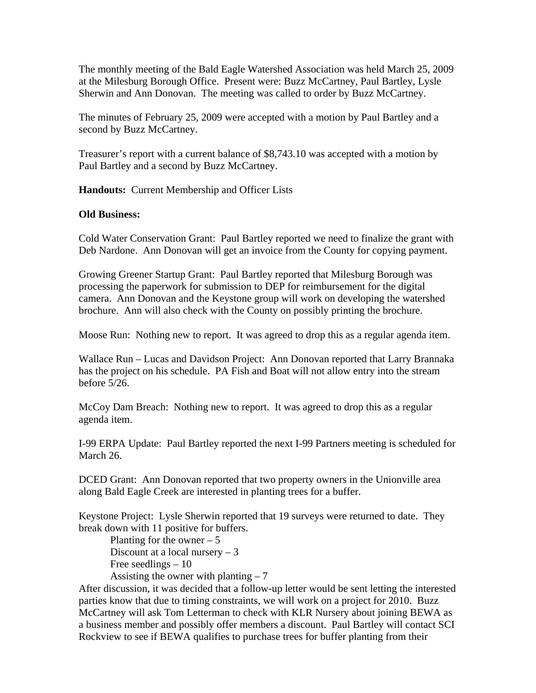The monthly meeting of the Bald Eagle Watershed Association was held March 25, 2009 at the Milesburg Borough Office. Present were: Buzz McCartney, Paul Bartley, Lysle Sherwin and Ann Donovan. The meeting was called to order by Buzz McCartney.

The minutes of February 25, 2009 were accepted with a motion by Paul Bartley and a second by Buzz McCartney.

Treasurer's report with a current balance of \$8,743.10 was accepted with a motion by Paul Bartley and a second by Buzz McCartney.

**Handouts:** Current Membership and Officer Lists

## **Old Business:**

Cold Water Conservation Grant: Paul Bartley reported we need to finalize the grant with Deb Nardone. Ann Donovan will get an invoice from the County for copying payment.

Growing Greener Startup Grant: Paul Bartley reported that Milesburg Borough was processing the paperwork for submission to DEP for reimbursement for the digital camera. Ann Donovan and the Keystone group will work on developing the watershed brochure. Ann will also check with the County on possibly printing the brochure.

Moose Run: Nothing new to report. It was agreed to drop this as a regular agenda item.

Wallace Run – Lucas and Davidson Project: Ann Donovan reported that Larry Brannaka has the project on his schedule. PA Fish and Boat will not allow entry into the stream before 5/26.

McCoy Dam Breach: Nothing new to report. It was agreed to drop this as a regular agenda item.

I-99 ERPA Update: Paul Bartley reported the next I-99 Partners meeting is scheduled for March 26.

DCED Grant: Ann Donovan reported that two property owners in the Unionville area along Bald Eagle Creek are interested in planting trees for a buffer.

Keystone Project: Lysle Sherwin reported that 19 surveys were returned to date. They break down with 11 positive for buffers.

Planting for the owner  $-5$ Discount at a local nursery  $-3$ Free seedlings  $-10$ Assisting the owner with planting  $-7$ 

After discussion, it was decided that a follow-up letter would be sent letting the interested parties know that due to timing constraints, we will work on a project for 2010. Buzz McCartney will ask Tom Letterman to check with KLR Nursery about joining BEWA as a business member and possibly offer members a discount. Paul Bartley will contact SCI Rockview to see if BEWA qualifies to purchase trees for buffer planting from their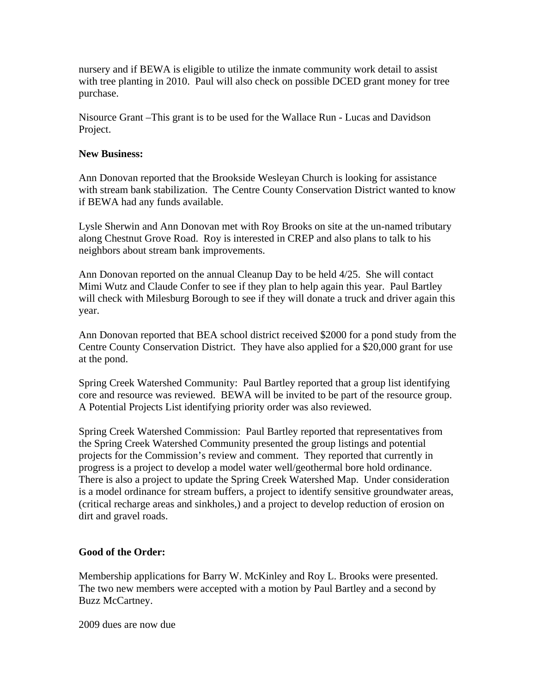nursery and if BEWA is eligible to utilize the inmate community work detail to assist with tree planting in 2010. Paul will also check on possible DCED grant money for tree purchase.

Nisource Grant –This grant is to be used for the Wallace Run - Lucas and Davidson Project.

## **New Business:**

Ann Donovan reported that the Brookside Wesleyan Church is looking for assistance with stream bank stabilization. The Centre County Conservation District wanted to know if BEWA had any funds available.

Lysle Sherwin and Ann Donovan met with Roy Brooks on site at the un-named tributary along Chestnut Grove Road. Roy is interested in CREP and also plans to talk to his neighbors about stream bank improvements.

Ann Donovan reported on the annual Cleanup Day to be held 4/25. She will contact Mimi Wutz and Claude Confer to see if they plan to help again this year. Paul Bartley will check with Milesburg Borough to see if they will donate a truck and driver again this year.

Ann Donovan reported that BEA school district received \$2000 for a pond study from the Centre County Conservation District. They have also applied for a \$20,000 grant for use at the pond.

Spring Creek Watershed Community: Paul Bartley reported that a group list identifying core and resource was reviewed. BEWA will be invited to be part of the resource group. A Potential Projects List identifying priority order was also reviewed.

Spring Creek Watershed Commission: Paul Bartley reported that representatives from the Spring Creek Watershed Community presented the group listings and potential projects for the Commission's review and comment. They reported that currently in progress is a project to develop a model water well/geothermal bore hold ordinance. There is also a project to update the Spring Creek Watershed Map. Under consideration is a model ordinance for stream buffers, a project to identify sensitive groundwater areas, (critical recharge areas and sinkholes,) and a project to develop reduction of erosion on dirt and gravel roads.

## **Good of the Order:**

Membership applications for Barry W. McKinley and Roy L. Brooks were presented. The two new members were accepted with a motion by Paul Bartley and a second by Buzz McCartney.

2009 dues are now due